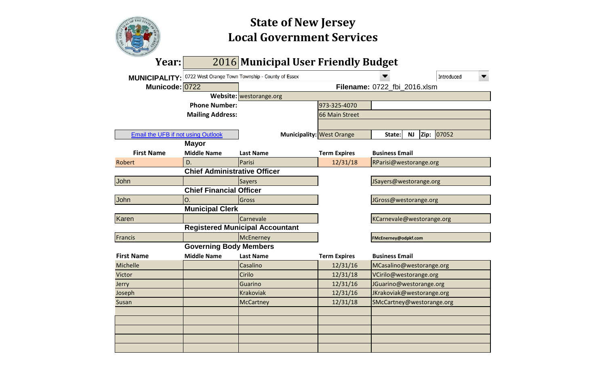

# **Local Government Services State of New Jersey**

| Year:                              |                                     | 2016 Municipal User Friendly Budget                            |                             |                              |                   |  |  |  |  |
|------------------------------------|-------------------------------------|----------------------------------------------------------------|-----------------------------|------------------------------|-------------------|--|--|--|--|
|                                    |                                     | MUNICIPALITY: 0722 West Orange Town Township - County of Essex |                             |                              | <b>Introduced</b> |  |  |  |  |
| Municode: 0722                     |                                     |                                                                |                             | Filename: 0722_fbi_2016.xlsm |                   |  |  |  |  |
|                                    |                                     | Website: westorange.org                                        |                             |                              |                   |  |  |  |  |
|                                    | <b>Phone Number:</b>                |                                                                | 973-325-4070                |                              |                   |  |  |  |  |
|                                    | <b>Mailing Address:</b>             |                                                                | 66 Main Street              |                              |                   |  |  |  |  |
|                                    |                                     |                                                                |                             |                              |                   |  |  |  |  |
| Email the UFB if not using Outlook |                                     | <b>Municipality: West Orange</b>                               | Zip:<br><b>NJ</b><br>State: | 07052                        |                   |  |  |  |  |
|                                    | <b>Mayor</b>                        |                                                                |                             |                              |                   |  |  |  |  |
| <b>First Name</b>                  | <b>Middle Name</b>                  | <b>Last Name</b>                                               | <b>Term Expires</b>         | <b>Business Email</b>        |                   |  |  |  |  |
| <b>Robert</b>                      | D.                                  | Parisi                                                         | 12/31/18                    | RParisi@westorange.org       |                   |  |  |  |  |
|                                    | <b>Chief Administrative Officer</b> |                                                                |                             |                              |                   |  |  |  |  |
| John                               |                                     | Sayers                                                         |                             | JSayers@westorange.org       |                   |  |  |  |  |
|                                    | <b>Chief Financial Officer</b>      |                                                                |                             |                              |                   |  |  |  |  |
| John                               | 0.                                  | Gross                                                          |                             | JGross@westorange.org        |                   |  |  |  |  |
|                                    | <b>Municipal Clerk</b>              |                                                                |                             |                              |                   |  |  |  |  |
| Karen                              |                                     | Carnevale                                                      |                             | KCarnevale@westorange.org    |                   |  |  |  |  |
|                                    |                                     | <b>Registered Municipal Accountant</b>                         |                             |                              |                   |  |  |  |  |
| Francis                            |                                     | McEnerney                                                      |                             | FMcEnerney@odpkf.com         |                   |  |  |  |  |
|                                    | <b>Governing Body Members</b>       |                                                                |                             |                              |                   |  |  |  |  |
| <b>First Name</b>                  | <b>Middle Name</b>                  | <b>Last Name</b>                                               | <b>Term Expires</b>         | <b>Business Email</b>        |                   |  |  |  |  |
| Michelle                           |                                     | Casalino                                                       | 12/31/16                    | MCasalino@westorange.org     |                   |  |  |  |  |
| Victor                             |                                     | Cirilo                                                         | 12/31/18                    | VCirilo@westorange.org       |                   |  |  |  |  |
| Jerry                              |                                     | Guarino                                                        | 12/31/16                    | JGuarino@westorange.org      |                   |  |  |  |  |
| Joseph                             |                                     | <b>Krakoviak</b>                                               | 12/31/16                    | JKrakoviak@westorange.org    |                   |  |  |  |  |
| Susan                              |                                     | McCartney                                                      | 12/31/18                    | SMcCartney@westorange.org    |                   |  |  |  |  |
|                                    |                                     |                                                                |                             |                              |                   |  |  |  |  |
|                                    |                                     |                                                                |                             |                              |                   |  |  |  |  |
|                                    |                                     |                                                                |                             |                              |                   |  |  |  |  |
|                                    |                                     |                                                                |                             |                              |                   |  |  |  |  |
|                                    |                                     |                                                                |                             |                              |                   |  |  |  |  |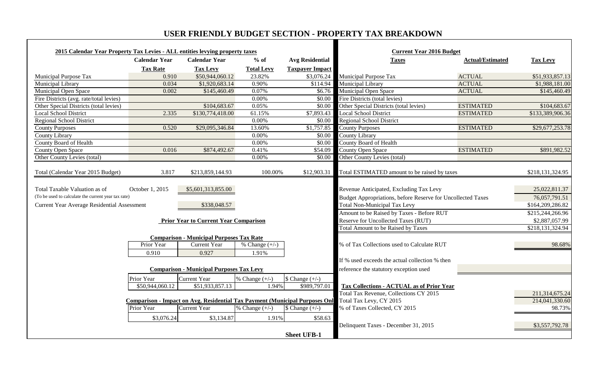# **USER FRIENDLY BUDGET SECTION - PROPERTY TAX BREAKDOWN**

| 2015 Calendar Year Property Tax Levies - ALL entities levying property taxes |                      |                                                                                    |                   |                           | <b>Current Year 2016 Budget</b>                                    |                         |                  |
|------------------------------------------------------------------------------|----------------------|------------------------------------------------------------------------------------|-------------------|---------------------------|--------------------------------------------------------------------|-------------------------|------------------|
|                                                                              | <b>Calendar Year</b> | <b>Calendar Year</b>                                                               | $%$ of            | <b>Avg Residential</b>    | <b>Taxes</b>                                                       | <b>Actual/Estimated</b> | <b>Tax Levy</b>  |
|                                                                              | <b>Tax Rate</b>      | <b>Tax Levy</b>                                                                    | <b>Total Levy</b> | <b>Taxpayer Impact</b>    |                                                                    |                         |                  |
| Municipal Purpose Tax                                                        | 0.910                | \$50,944,060.12                                                                    | 23.82%            |                           | \$3,076.24 Municipal Purpose Tax                                   | <b>ACTUAL</b>           | \$51,933,857.13  |
| Municipal Library                                                            | 0.034                | \$1,920,683.14                                                                     | 0.90%             | \$114.94                  | Municipal Library                                                  | <b>ACTUAL</b>           | \$1,988,181.00   |
| Municipal Open Space                                                         | 0.002                | \$145,460.49                                                                       | 0.07%             |                           | \$6.76 Municipal Open Space                                        | <b>ACTUAL</b>           | \$145,460.49     |
| Fire Districts (avg. rate/total levies)                                      |                      |                                                                                    | 0.00%             |                           | \$0.00 Fire Districts (total levies)                               |                         |                  |
| Other Special Districts (total levies)                                       |                      | \$104,683.67                                                                       | 0.05%             |                           | \$0.00 Other Special Districts (total levies)                      | <b>ESTIMATED</b>        | \$104,683.67     |
| <b>Local School District</b>                                                 | 2.335                | \$130,774,418.00                                                                   | 61.15%            | \$7,893.43                | <b>Local School District</b>                                       | <b>ESTIMATED</b>        | \$133,389,906.36 |
| Regional School District                                                     |                      |                                                                                    | $0.00\%$          |                           | \$0.00 Regional School District                                    |                         |                  |
| <b>County Purposes</b>                                                       | 0.520                | \$29,095,346.84                                                                    | 13.60%            | \$1,757.85                | <b>County Purposes</b>                                             | <b>ESTIMATED</b>        | \$29,677,253.78  |
| County Library                                                               |                      |                                                                                    | 0.00%             | \$0.00                    | County Library                                                     |                         |                  |
| County Board of Health                                                       |                      |                                                                                    | $0.00\%$          | \$0.00                    | <b>County Board of Health</b>                                      |                         |                  |
| <b>County Open Space</b>                                                     | 0.016                | \$874,492.67                                                                       | 0.41%             | \$54.09                   | <b>County Open Space</b>                                           | <b>ESTIMATED</b>        | \$891,982.52     |
| Other County Levies (total)                                                  |                      |                                                                                    | $0.00\%$          |                           | \$0.00 Other County Levies (total)                                 |                         |                  |
| Total (Calendar Year 2015 Budget)                                            | 3.817                | \$213,859,144.93                                                                   | 100.00%           | \$12,903.31               | Total ESTIMATED amount to be raised by taxes                       |                         | \$218,131,324.95 |
| Total Taxable Valuation as of                                                | October 1, 2015      | \$5,601,313,855.00                                                                 |                   |                           | Revenue Anticipated, Excluding Tax Levy                            |                         | 25,022,811.37    |
| (To be used to calculate the current year tax rate)                          |                      |                                                                                    |                   |                           | <b>Budget Appropriations, before Reserve for Uncollected Taxes</b> |                         | 76,057,791.51    |
| Current Year Average Residential Assessment                                  |                      | \$338,048.57                                                                       |                   |                           | <b>Total Non-Municipal Tax Levy</b>                                |                         | \$164,209,286.82 |
|                                                                              |                      |                                                                                    |                   |                           | Amount to be Raised by Taxes - Before RUT                          |                         | \$215,244,266.96 |
|                                                                              |                      | <b>Prior Year to Current Year Comparison</b>                                       |                   |                           | Reserve for Uncollected Taxes (RUT)                                |                         | \$2,887,057.99   |
|                                                                              |                      |                                                                                    |                   |                           | <b>Total Amount to be Raised by Taxes</b>                          |                         | \$218,131,324.94 |
|                                                                              |                      | <b>Comparison - Municipal Purposes Tax Rate</b>                                    |                   |                           |                                                                    |                         |                  |
|                                                                              | Prior Year           | <b>Current Year</b>                                                                | % Change $(+/-)$  |                           | % of Tax Collections used to Calculate RUT                         |                         | 98.68%           |
|                                                                              | 0.910                | 0.927                                                                              | 1.91%             |                           |                                                                    |                         |                  |
|                                                                              |                      |                                                                                    |                   |                           | If % used exceeds the actual collection % then                     |                         |                  |
|                                                                              |                      | <b>Comparison - Municipal Purposes Tax Levy</b>                                    |                   |                           | reference the statutory exception used                             |                         |                  |
|                                                                              |                      |                                                                                    |                   |                           |                                                                    |                         |                  |
|                                                                              | Prior Year           | <b>Current Year</b>                                                                | % Change $(+/-)$  | $\text{\$ Change } (+/-)$ |                                                                    |                         |                  |
|                                                                              | \$50,944,060.12      | \$51,933,857.13                                                                    | 1.94%             | \$989,797.0               | <b>Tax Collections - ACTUAL as of Prior Year</b>                   |                         |                  |
|                                                                              |                      |                                                                                    |                   |                           | Total Tax Revenue, Collections CY 2015                             |                         | 211,314,675.24   |
|                                                                              |                      | <b>Comparison - Impact on Avg. Residential Tax Payment (Municipal Purposes Onl</b> |                   |                           | Total Tax Levy, CY 2015                                            |                         | 214,041,330.60   |
|                                                                              | Prior Year           | <b>Current Year</b>                                                                | % Change $(+/-)$  | $\text{\$ Change } (+/-)$ | % of Taxes Collected, CY 2015                                      |                         | 98.73%           |
|                                                                              | \$3,076.24           | \$3,134.87                                                                         | 1.91%             | \$58.63                   |                                                                    |                         |                  |
|                                                                              |                      |                                                                                    |                   |                           | Delinquent Taxes - December 31, 2015                               |                         | \$3,557,792.78   |
|                                                                              |                      |                                                                                    |                   |                           |                                                                    |                         |                  |
|                                                                              |                      |                                                                                    |                   | <b>Sheet UFB-1</b>        |                                                                    |                         |                  |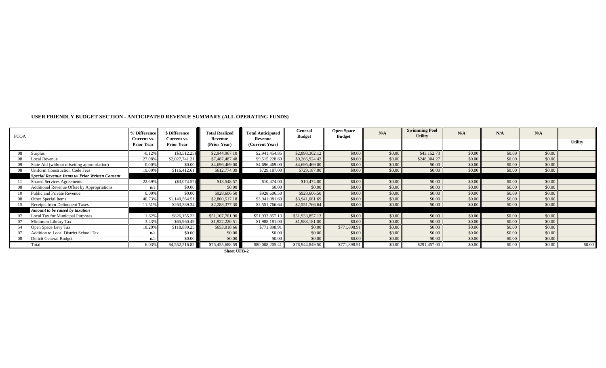| <b>FCOA</b> |                                                    | <b>6 Difference</b><br>Current vs. | <b>\$ Difference</b><br>Current vs. | <b>Total Realized</b><br>Revenue | <b>Total Anticipated</b><br>Revenue | General<br><b>Budget</b> | <b>Open Space</b><br><b>Budget</b> | N/A    | <b>Swimming Pool</b><br><b>Utility</b> | N/A    | N/A    | N/A    |                |
|-------------|----------------------------------------------------|------------------------------------|-------------------------------------|----------------------------------|-------------------------------------|--------------------------|------------------------------------|--------|----------------------------------------|--------|--------|--------|----------------|
|             |                                                    | <b>Prior Year</b>                  | <b>Prior Year</b>                   | (Prior Year)                     | (Current Year)                      |                          |                                    |        |                                        |        |        |        | <b>Utility</b> |
| 08          | Surplus                                            | $-0.12%$                           | $(\$3,512.25)$                      | \$2,944,967.10                   | \$2,941,454.85                      | \$2,898,302.12           | \$0.00                             | \$0.00 | \$43,152.73                            | \$0.00 | \$0.00 | \$0.00 |                |
| 08          | Local Revenue                                      | 27.08%                             | \$2,027,741.21                      | \$7,487,487.48                   | \$9,515,228.69                      | \$9,266,924.42           | \$0.00                             | \$0.00 | \$248,304.27                           | \$0.00 | \$0.00 | \$0.00 |                |
| 09          | State Aid (without offsetting appropriation)       | 0.00%                              | \$0.00                              | \$4,696,469.00                   | \$4,696,469.00                      | \$4,696,469.00           | \$0.00                             | \$0.00 | \$0.00                                 | \$0.00 | \$0.00 | \$0.00 |                |
| 08          | <b>Jniform Construction Code Fees</b>              | 19.00%                             | \$116,412.61                        | \$612,774.39                     | \$729,187.00                        | \$729,187.00             | \$0.00                             | \$0.00 | \$0.00                                 | \$0.00 | \$0.00 | \$0.00 |                |
|             | Special Revenue Items w/ Prior Written Consent     |                                    |                                     |                                  |                                     |                          |                                    |        |                                        |        |        |        |                |
|             | <b>Shared Services Agreements</b>                  | $-22.69%$                          | $(\$3,074.57)$                      | \$13,548.57                      | \$10,474.00                         | \$10,474.00              | \$0.00                             | \$0.00 | \$0.00                                 | \$0.00 | \$0.00 | \$0.00 |                |
| 08          | <b>Additional Revenue Offset by Appropriations</b> | n/a                                | \$0.00                              | \$0.00                           | \$0.00                              | \$0.00                   | \$0.00                             | \$0.00 | \$0.00                                 | \$0.00 | \$0.00 | \$0.00 |                |
| 10          | Public and Private Revenue                         | $0.00\%$                           | \$0.00                              | \$928,606.50                     | \$928,606.50                        | \$928,606.50             | \$0.00                             | \$0.00 | \$0.00                                 | \$0.00 | \$0.00 | \$0.00 |                |
| 08          | Other Special Items                                | 40.73%                             | \$1,140,564.51                      | \$2,800,517.18                   | \$3,941,081.69                      | \$3,941,081.69           | \$0.00                             | \$0.00 | \$0.00                                 | \$0.00 | \$0.00 | \$0.00 |                |
| 15          | Receipts from Delinquent Taxes                     | 11.51%                             | \$263,389.34                        | \$2,288,377.30                   | \$2,551,766.64                      | \$2,551,766.64           | \$0.00                             | \$0.00 | \$0.00                                 | \$0.00 | \$0.00 | \$0.00 |                |
|             | Amount to be raised by taxation                    |                                    |                                     |                                  |                                     |                          |                                    |        |                                        |        |        |        |                |
|             | <b>Local Tax for Municipal Purposes</b>            | 1.62%                              | \$826,155.23                        | \$51,107,701.90                  | \$51,933,857.13                     | \$51,933,857.13          | \$0.00                             | \$0.00 | \$0.00                                 | \$0.00 | \$0.00 | \$0.00 |                |
| 07          | Minimum Library Tax                                | 3.43%                              | \$65,960.49                         | \$1,922,220.51                   | \$1,988,181.00                      | \$1,988,181.00           | \$0.00                             | \$0.00 | \$0.00                                 | \$0.00 | \$0.00 | \$0.00 |                |
| 54          | Open Space Levy Tax                                | 18.209                             | \$118,880.25                        | \$653,018.66                     | \$771,898.91                        | \$0.00                   | \$771,898.91                       | \$0.00 | \$0.00                                 | \$0.00 | \$0.00 | \$0.00 |                |
|             | Addition to Local District School Tax              | n/a                                | \$0.00                              | \$0.00                           | \$0.00                              | \$0.00                   | \$0.00                             | \$0.00 | \$0.00                                 | \$0.00 | \$0.00 | \$0.00 |                |
| 08          | Deficit General Budget                             | n/a                                | \$0.00                              | \$0.00                           | \$0.00                              | \$0.00                   | \$0.00                             | \$0.00 | \$0.00                                 | \$0.00 | \$0.00 | \$0.00 |                |
|             | Total                                              | 6.03%                              | \$4,552,516.82                      | \$75,455,688.59                  | \$80,008,205.41                     | \$78,944,849.50          | \$771,898.91                       | \$0.00 | \$291,457.00                           | \$0.00 | \$0.00 | \$0.00 | \$0.00         |

**Sheet UFB-2**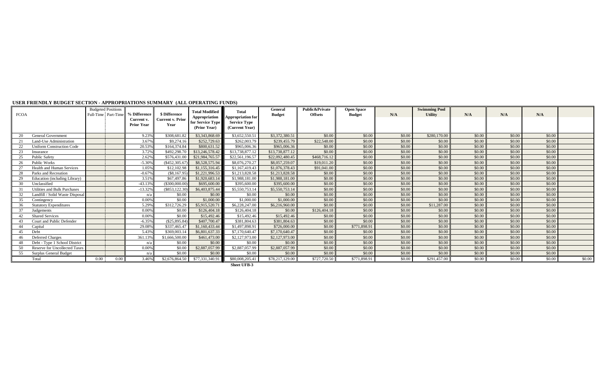| <b>FCOA</b> |                                  |      | <b>Budgeted Positions</b><br>Full-Time Part-Time | % Difference                    | \$ Difference                   | <b>Total Modified</b>                             | <b>Total</b>                                                      | General<br><b>Budget</b> | Public&Private<br><b>Offsets</b> | <b>Open Space</b><br><b>Budget</b> | N/A    | <b>Swimming Pool</b><br><b>Utility</b> | N/A    | N/A    | N/A    |        |
|-------------|----------------------------------|------|--------------------------------------------------|---------------------------------|---------------------------------|---------------------------------------------------|-------------------------------------------------------------------|--------------------------|----------------------------------|------------------------------------|--------|----------------------------------------|--------|--------|--------|--------|
|             |                                  |      |                                                  | Current v.<br><b>Prior Year</b> | <b>Current v. Prior</b><br>Year | Appropriation<br>for Service Type<br>(Prior Year) | <b>Appropriation for</b><br><b>Service Type</b><br>(Current Year) |                          |                                  |                                    |        |                                        |        |        |        |        |
| 20          | <b>General Government</b>        |      |                                                  | 9.23%                           | \$308,681.82                    | \$3,343,868.69                                    | \$3,652,550.51                                                    | \$3,372,380.5            | \$0.00                           | \$0.00                             | \$0.00 | \$280,170.00                           | \$0.00 | \$0.00 | \$0.00 |        |
|             | Land-Use Administration          |      |                                                  | 3.679                           | \$9,274.16                      | \$252,729.63                                      | \$262,003.79                                                      | \$239,455.79             | \$22,548.00                      | \$0.00                             | \$0.00 | \$0.00                                 | \$0.00 | \$0.00 | \$0.00 |        |
|             | <b>Uniform Construction Code</b> |      |                                                  | 20.539                          | \$164,374.84                    | \$800,631.52                                      | \$965,006.36                                                      | \$965,006.36             | \$0.00                           | \$0.00                             | \$0.00 | \$0.00                                 | \$0.00 | \$0.00 | \$0.00 |        |
| 23          | Insurance                        |      |                                                  | 3.72%                           | \$492,298.7                     | \$13,246,578.42                                   | \$13,738,877.12                                                   | \$13,738,877.12          | \$0.00                           | \$0.00                             | \$0.00 | \$0.00                                 | \$0.00 | \$0.00 | \$0.00 |        |
| 25          | <b>Public Safety</b>             |      |                                                  | 2.629                           | \$576,431.00                    | \$21,984,765.57                                   | \$22,561,196.57                                                   | \$22,092,480.45          | \$468,716.12                     | \$0.00                             | \$0.00 | \$0.00                                 | \$0.00 | \$0.00 | \$0.00 |        |
| 26          | <b>Public Works</b>              |      |                                                  | $-5.30%$                        | $($ \$452,305.6 $'$             | \$8,528,575.94                                    | \$8,076,270.27                                                    | \$8,057,259.07           | \$19,011.20                      | \$0.00                             | \$0.00 | \$0.00                                 | \$0.00 | \$0.00 | \$0.00 |        |
|             | <b>Health and Human Services</b> |      |                                                  | 1.05%                           | \$12,102.98                     | \$1,155,316.45                                    | \$1,167,419.43                                                    | \$1,076,378.43           | \$91,041.00                      | \$0.00                             | \$0.00 | \$0.00                                 | \$0.00 | \$0.00 | \$0.00 |        |
| 28          | Parks and Recreation             |      |                                                  | $-0.679$                        | $(\$8,167.95$                   | \$1,221,996.53                                    | \$1,213,828.58                                                    | \$1,213,828.58           | \$0.00                           | \$0.00                             | \$0.00 | \$0.00                                 | \$0.00 | \$0.00 | \$0.00 |        |
| 29          | Education (including Library)    |      |                                                  | 3.51%                           | \$67,497.86                     | \$1,920,683.14                                    | \$1,988,181,00                                                    | \$1,988,181.00           | \$0.00                           | \$0.00                             | \$0.00 | \$0.00                                 | \$0.00 | \$0.00 | \$0.00 |        |
| 30          | Unclassified                     |      |                                                  | $-43.139$                       | (\$300,000.00)                  | \$695,600.00                                      | \$395,600.00                                                      | \$395,600.00             | \$0.00                           | \$0.00                             | \$0.00 | \$0.00                                 | \$0.00 | \$0.00 | \$0.00 |        |
| - 31        | Utilities and Bulk Purchases     |      |                                                  | $-13.32%$                       | $(\$853, 122.30)$               | \$6,403,875.44                                    | \$5,550,753.14                                                    | \$5,550,753.14           | \$0.00                           | \$0.00                             | \$0.00 | \$0.00                                 | \$0.00 | \$0.00 | \$0.00 |        |
| 32          | Landfill / Solid Waste Disposal  |      |                                                  | n/                              | \$0.00                          | \$0.00                                            | \$0.00                                                            | \$0.00                   | \$0.00                           | \$0.00                             | \$0.00 | \$0.00                                 | \$0.00 | \$0.00 | \$0.00 |        |
| 35          | Contingency                      |      |                                                  | 0.009                           | \$0.00                          | \$1,000.00                                        | \$1,000.00                                                        | \$1,000.00               | \$0.00                           | \$0.00                             | \$0.00 | \$0.00                                 | \$0.00 | \$0.00 | \$0.00 |        |
| 36          | <b>Statutory Expenditures</b>    |      |                                                  | 5.29%                           | \$312,726.29                    | \$5,915,520.71                                    | \$6,228,247.00                                                    | \$6,216,960.00           | \$0.00                           | \$0.00                             | \$0.00 | \$11,287.00                            | \$0.00 | \$0.00 | \$0.00 |        |
| 37          | Judgements                       |      |                                                  | 0.009                           | \$0.00                          | \$126,404.18                                      | \$126,404.18                                                      | \$0.00                   | \$126,404.18                     | \$0.00                             | \$0.00 | \$0.00                                 | \$0.00 | \$0.00 | \$0.00 |        |
|             | <b>Shared Services</b>           |      |                                                  | 0.00%                           | \$0.00                          | \$15,492.46                                       | \$15,492.46                                                       | \$15,492.46              | \$0.00                           | \$0.00                             | \$0.00 | \$0.00                                 | \$0.00 | \$0.00 | \$0.00 |        |
| 43          | Court and Public Defender        |      |                                                  | $-6.35%$                        | (\$25,895.84)                   | \$407,700.47                                      | \$381,804.63                                                      | \$381,804.63             | \$0.00                           | \$0.00                             | \$0.00 | \$0.00                                 | \$0.00 | \$0.00 | \$0.00 |        |
| 44          | Capital                          |      |                                                  | 29.089                          | \$337,465.4                     | \$1,160,433,44                                    | \$1,497,898.91                                                    | \$726,000.00             | \$0.00                           | \$771,898.91                       | \$0.00 | \$0.00                                 | \$0.00 | \$0.00 | \$0.00 |        |
| 45          | Debt                             |      |                                                  | 5.439                           | \$369,003.                      | \$6,801,637.33                                    | \$7,170,640.47                                                    | \$7,170,640.47           | \$0.00                           | \$0.00                             | \$0.00 | \$0.00                                 | \$0.00 | \$0.00 | \$0.00 |        |
| 46          | <b>Deferred Charges</b>          |      |                                                  | 361.139                         | \$1,666,500.00                  | \$461,473.00                                      | \$2,127,973.00                                                    | \$2,127,973.00           | \$0.00                           | \$0.00                             | \$0.00 | \$0.00                                 | \$0.00 | \$0.00 | \$0.00 |        |
|             | Debt - Type 1 School District    |      |                                                  | n(i)                            | \$0.00                          | \$0.00                                            | \$0.00                                                            | \$0.00                   | \$0.00                           | \$0.00                             | \$0.00 | \$0.00                                 | \$0.00 | \$0.00 | \$0.00 |        |
| 50          | Reserve for Uncollected Taxes    |      |                                                  | 0.009                           | \$0.00                          | \$2,887,057.99                                    | \$2,887,057.99                                                    | \$2,887,057.99           | \$0.00                           | \$0.00                             | \$0.00 | \$0.00                                 | \$0.00 | \$0.00 | \$0.00 |        |
| 55          | Surplus General Budget           |      |                                                  | n/z                             | \$0.00                          | \$0.00                                            | \$0.00                                                            | \$0.00                   | \$0.00                           | \$0.00                             | \$0.00 | \$0.00                                 | \$0.00 | \$0.00 | \$0.00 |        |
|             | Total                            | 0.00 | $0.00 -$                                         | 3.46%                           | \$2,676,864.50                  | \$77,331,340.91                                   | \$80,008,205.41                                                   | \$78,217,129.00          | \$727,720.50                     | \$771,898.9                        | \$0.00 | \$291,457.00                           | \$0.00 | \$0.00 | \$0.00 | \$0.00 |

#### **USER FRIENDLY BUDGET SECTION - APPROPRIATIONS SUMMARY (ALL OPERATING FUNDS)**

 **Sheet UFB-3**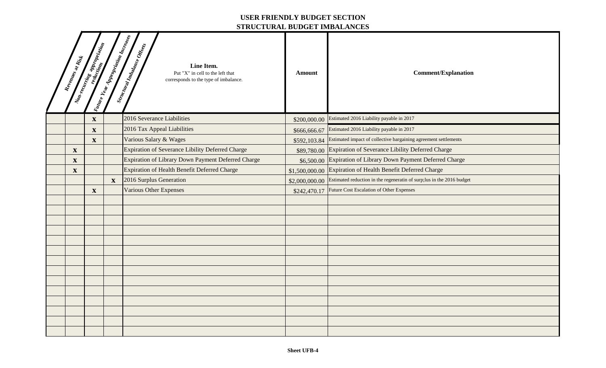### **USER FRIENDLY BUDGET SECTION STRUCTURAL BUDGET IMBALANCES**

|                           |                                                                                                                                                                                                                                      |                                     | этисстемир верорт пивипитер                                                                                             |                |                                                                                      |
|---------------------------|--------------------------------------------------------------------------------------------------------------------------------------------------------------------------------------------------------------------------------------|-------------------------------------|-------------------------------------------------------------------------------------------------------------------------|----------------|--------------------------------------------------------------------------------------|
| Revenues at Rist          | And Contract on the Contract of Contract of Contract of Contract of Contract of Contract of Contract of Contra<br>And Contract of Contract of Contract of Contract of Contract of Contract of Contract of Contract of Contract o<br> | Valure Year Appropriation Increases | Structural Impalance Offices<br>Line Item.<br>Put "X" in cell to the left that<br>corresponds to the type of imbalance. | <b>Amount</b>  | <b>Comment/Explanation</b>                                                           |
|                           | $\boldsymbol{\mathrm{X}}$                                                                                                                                                                                                            |                                     | 2016 Severance Liabilities                                                                                              |                | \$200,000.00 Estimated 2016 Liability payable in 2017                                |
|                           | $\mathbf{X}$                                                                                                                                                                                                                         |                                     | 2016 Tax Appeal Liabilities                                                                                             | \$666,666.67   | Estimated 2016 Liability payable in 2017                                             |
|                           | $\mathbf{X}$                                                                                                                                                                                                                         |                                     | Various Salary & Wages                                                                                                  |                | \$592,103.84 Estimated impact of collective bargaining agreement settlements         |
| $\boldsymbol{\mathrm{X}}$ |                                                                                                                                                                                                                                      |                                     | <b>Expiration of Severance Libility Deferred Charge</b>                                                                 |                | \$89,780.00 Expiration of Severance Libility Deferred Charge                         |
| $\mathbf X$               |                                                                                                                                                                                                                                      |                                     | Expiration of Library Down Payment Deferred Charge                                                                      |                | \$6,500.00 Expiration of Library Down Payment Deferred Charge                        |
| $\boldsymbol{\mathrm{X}}$ |                                                                                                                                                                                                                                      |                                     | <b>Expiration of Health Benefit Deferred Charge</b>                                                                     | \$1,500,000.00 | Expiration of Health Benefit Deferred Charge                                         |
|                           |                                                                                                                                                                                                                                      | $\mathbf{X}$                        | 2016 Surplus Generation                                                                                                 |                | \$2,000,000.00 Estimated reduction in the regeneratin of surp;lus in the 2016 budget |
|                           | $\mathbf{X}$                                                                                                                                                                                                                         |                                     | <b>Various Other Expenses</b>                                                                                           | \$242,470.17   | Future Cost Escalation of Other Expenses                                             |
|                           |                                                                                                                                                                                                                                      |                                     |                                                                                                                         |                |                                                                                      |
|                           |                                                                                                                                                                                                                                      |                                     |                                                                                                                         |                |                                                                                      |
|                           |                                                                                                                                                                                                                                      |                                     |                                                                                                                         |                |                                                                                      |
|                           |                                                                                                                                                                                                                                      |                                     |                                                                                                                         |                |                                                                                      |
|                           |                                                                                                                                                                                                                                      |                                     |                                                                                                                         |                |                                                                                      |
|                           |                                                                                                                                                                                                                                      |                                     |                                                                                                                         |                |                                                                                      |
|                           |                                                                                                                                                                                                                                      |                                     |                                                                                                                         |                |                                                                                      |
|                           |                                                                                                                                                                                                                                      |                                     |                                                                                                                         |                |                                                                                      |
|                           |                                                                                                                                                                                                                                      |                                     |                                                                                                                         |                |                                                                                      |
|                           |                                                                                                                                                                                                                                      |                                     |                                                                                                                         |                |                                                                                      |
|                           |                                                                                                                                                                                                                                      |                                     |                                                                                                                         |                |                                                                                      |
|                           |                                                                                                                                                                                                                                      |                                     |                                                                                                                         |                |                                                                                      |
|                           |                                                                                                                                                                                                                                      |                                     |                                                                                                                         |                |                                                                                      |
|                           |                                                                                                                                                                                                                                      |                                     |                                                                                                                         |                |                                                                                      |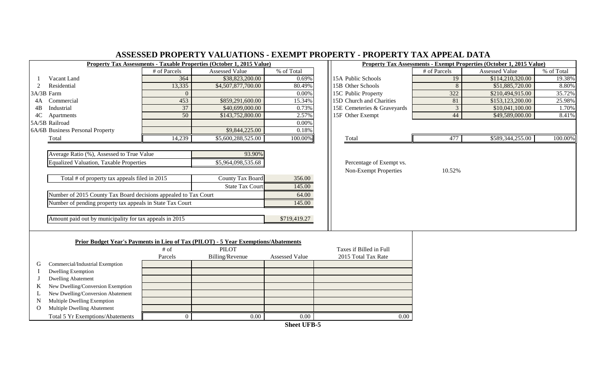| ASSESSED PROPERTY VALUATIONS - EXEMPT PROPERTY - PROPERTY TAX APPEAL DATA |                 |                                                                                    |                    |                             |                |                                                                      |            |  |  |  |  |  |  |
|---------------------------------------------------------------------------|-----------------|------------------------------------------------------------------------------------|--------------------|-----------------------------|----------------|----------------------------------------------------------------------|------------|--|--|--|--|--|--|
|                                                                           |                 | Property Tax Assessments - Taxable Properties (October 1, 2015 Value)              |                    |                             |                | Property Tax Assessments - Exempt Properties (October 1, 2015 Value) |            |  |  |  |  |  |  |
|                                                                           | # of Parcels    | Assessed Value                                                                     | % of Total         |                             | # of Parcels   | Assessed Value                                                       | % of Total |  |  |  |  |  |  |
| Vacant Land                                                               | 364             | \$38,823,200.00                                                                    | 0.69%              | 15A Public Schools          | 19             | \$114,210,320.00                                                     | 19.38%     |  |  |  |  |  |  |
| Residential<br>2                                                          | 13,335          | \$4,507,877,700.00                                                                 | 80.49%             | 15B Other Schools           | 8              | \$51,885,720.00                                                      | 8.80%      |  |  |  |  |  |  |
| 3A/3B Farm                                                                |                 |                                                                                    | 0.00%              | 15C Public Property         | 322            | \$210,494,915.00                                                     | 35.72%     |  |  |  |  |  |  |
| Commercial<br>4A                                                          | 453             | \$859,291,600.00                                                                   | 15.34%             | 15D Church and Charities    | 81             | \$153,123,200.00                                                     | 25.98%     |  |  |  |  |  |  |
| Industrial<br>4B                                                          | 37              | \$40,699,000.00                                                                    | 0.73%              | 15E Cemeteries & Graveyards | $\overline{3}$ | \$10,041,100.00                                                      | 1.70%      |  |  |  |  |  |  |
| 4C<br>Apartments                                                          | $\overline{50}$ | \$143,752,800.00                                                                   | 2.57%              | 15F Other Exempt            | 44             | \$49,589,000.00                                                      | 8.41%      |  |  |  |  |  |  |
| 5A/5B Railroad                                                            |                 |                                                                                    | 0.00%              |                             |                |                                                                      |            |  |  |  |  |  |  |
| 6A/6B Business Personal Property                                          |                 | \$9,844,225.00                                                                     | 0.18%              |                             |                |                                                                      |            |  |  |  |  |  |  |
| Total                                                                     | 14,239          | \$5,600,288,525.00                                                                 | 100.00%            | Total                       | 477            | \$589,344,255.00                                                     | 100.00%    |  |  |  |  |  |  |
|                                                                           |                 |                                                                                    |                    |                             |                |                                                                      |            |  |  |  |  |  |  |
| Average Ratio (%), Assessed to True Value                                 |                 | 93.90%                                                                             |                    |                             |                |                                                                      |            |  |  |  |  |  |  |
| <b>Equalized Valuation, Taxable Properties</b>                            |                 | \$5,964,098,535.68                                                                 |                    | Percentage of Exempt vs.    |                |                                                                      |            |  |  |  |  |  |  |
|                                                                           |                 |                                                                                    |                    | Non-Exempt Properties       | 10.52%         |                                                                      |            |  |  |  |  |  |  |
| Total # of property tax appeals filed in 2015                             |                 | <b>County Tax Board</b>                                                            | 356.00             |                             |                |                                                                      |            |  |  |  |  |  |  |
|                                                                           |                 | <b>State Tax Court</b>                                                             | 145.00             |                             |                |                                                                      |            |  |  |  |  |  |  |
| Number of 2015 County Tax Board decisions appealed to Tax Court           |                 |                                                                                    | 64.00              |                             |                |                                                                      |            |  |  |  |  |  |  |
| Number of pending property tax appeals in State Tax Court                 |                 |                                                                                    | 145.00             |                             |                |                                                                      |            |  |  |  |  |  |  |
|                                                                           |                 |                                                                                    |                    |                             |                |                                                                      |            |  |  |  |  |  |  |
| Amount paid out by municipality for tax appeals in 2015                   |                 |                                                                                    | \$719,419.27       |                             |                |                                                                      |            |  |  |  |  |  |  |
|                                                                           |                 |                                                                                    |                    |                             |                |                                                                      |            |  |  |  |  |  |  |
|                                                                           |                 |                                                                                    |                    |                             |                |                                                                      |            |  |  |  |  |  |  |
|                                                                           |                 | Prior Budget Year's Payments in Lieu of Tax (PILOT) - 5 Year Exemptions/Abatements |                    |                             |                |                                                                      |            |  |  |  |  |  |  |
|                                                                           | $#$ of          | <b>PILOT</b>                                                                       |                    | Taxes if Billed in Full     |                |                                                                      |            |  |  |  |  |  |  |
|                                                                           | Parcels         | Billing/Revenue                                                                    | Assessed Value     | 2015 Total Tax Rate         |                |                                                                      |            |  |  |  |  |  |  |
| Commercial/Industrial Exemption<br>G                                      |                 |                                                                                    |                    |                             |                |                                                                      |            |  |  |  |  |  |  |
| <b>Dwelling Exemption</b>                                                 |                 |                                                                                    |                    |                             |                |                                                                      |            |  |  |  |  |  |  |
| <b>Dwelling Abatement</b>                                                 |                 |                                                                                    |                    |                             |                |                                                                      |            |  |  |  |  |  |  |
| New Dwelling/Conversion Exemption<br>K                                    |                 |                                                                                    |                    |                             |                |                                                                      |            |  |  |  |  |  |  |
| New Dwelling/Conversion Abatement<br>L                                    |                 |                                                                                    |                    |                             |                |                                                                      |            |  |  |  |  |  |  |
| Multiple Dwelling Exemption<br>N                                          |                 |                                                                                    |                    |                             |                |                                                                      |            |  |  |  |  |  |  |
| Multiple Dwelling Abatement<br>$\Omega$                                   |                 |                                                                                    |                    |                             |                |                                                                      |            |  |  |  |  |  |  |
| Total 5 Yr Exemptions/Abatements                                          | $\Omega$        | 0.00                                                                               | $\overline{0.00}$  | 0.00                        |                |                                                                      |            |  |  |  |  |  |  |
|                                                                           |                 |                                                                                    | <b>Sheet UFB-5</b> |                             |                |                                                                      |            |  |  |  |  |  |  |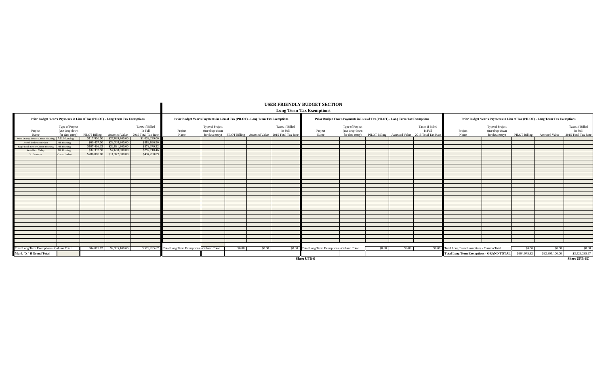|                                           |                                                                                |              |                              |                                                                                |                                                                                |                                   |        |        |                                                                                                       | <b>USER FRIENDLY BUDGET SECTION</b><br><b>Long Term Tax Exemptions</b> |                                                                                |        |        |                                                                                                       |                                                  |                                                                                |              |                              |                                                   |
|-------------------------------------------|--------------------------------------------------------------------------------|--------------|------------------------------|--------------------------------------------------------------------------------|--------------------------------------------------------------------------------|-----------------------------------|--------|--------|-------------------------------------------------------------------------------------------------------|------------------------------------------------------------------------|--------------------------------------------------------------------------------|--------|--------|-------------------------------------------------------------------------------------------------------|--------------------------------------------------|--------------------------------------------------------------------------------|--------------|------------------------------|---------------------------------------------------|
|                                           | Prior Budget Year's Payments in Lieu of Tax (PILOT) - Long Term Tax Exemptions |              |                              |                                                                                | Prior Budget Year's Payments in Lieu of Tax (PILOT) - Long Term Tax Exemptions |                                   |        |        |                                                                                                       |                                                                        | Prior Budget Year's Payments in Lieu of Tax (PILOT) - Long Term Tax Exemptions |        |        |                                                                                                       |                                                  | Prior Budget Year's Payments in Lieu of Tax (PILOT) - Long Term Tax Exemptions |              |                              |                                                   |
| Project<br><b>Name</b>                    | Type of Project<br>(use drop-down<br>for data entry)                           |              |                              | Taxes if Billed<br>In Full<br>PILOT Billing Assessed Value 2015 Total Tax Rate | Project<br>Name                                                                | Type of Project<br>(use drop-down |        |        | <b>Taxes if Billed</b><br>In Full<br>for data entry) PILOT Billing Assessed Value 2015 Total Tax Rate | Project<br>Name                                                        | Type of Project<br>(use drop-down                                              |        |        | <b>Taxes if Billed</b><br>In Full<br>for data entry) PILOT Billing Assessed Value 2015 Total Tax Rate | Project<br>Name                                  | Type of Project<br>(use drop-down<br>for data entry)                           |              | PILOT Billing Assessed Value | Taxes if Billed<br>In Full<br>2015 Total Tax Rate |
| West Orange Senior Citizen Hous           | Aff. Housing                                                                   |              | \$117,900.00 \$27,069,400.00 | \$1,033,239,00                                                                 |                                                                                |                                   |        |        |                                                                                                       |                                                                        |                                                                                |        |        |                                                                                                       |                                                  |                                                                                |              |                              |                                                   |
| Jewish Federation Plaza                   | Aff. Housing                                                                   |              | \$60,407.00 \$23,308,800.00  | \$889,696.90                                                                   |                                                                                |                                   |        |        |                                                                                                       |                                                                        |                                                                                |        |        |                                                                                                       |                                                  |                                                                                |              |                              |                                                   |
| Eagle Rock Senior Citizen Hous            | Aff. Housing                                                                   | \$107,436.32 | \$22,881,300.00              | \$873,379.23                                                                   |                                                                                |                                   |        |        |                                                                                                       |                                                                        |                                                                                |        |        |                                                                                                       |                                                  |                                                                                |              |                              |                                                   |
| Woodland Valley                           | Aff. Housing                                                                   | \$32,332.50  | \$7,668,600,00               | \$292,710.46                                                                   |                                                                                |                                   |        |        |                                                                                                       |                                                                        |                                                                                |        |        |                                                                                                       |                                                  |                                                                                |              |                              |                                                   |
| St. Barnabas                              | Comm./Indust.                                                                  |              | \$286,000.00 \$11,377,000.00 | \$434,260.09                                                                   |                                                                                |                                   |        |        |                                                                                                       |                                                                        |                                                                                |        |        |                                                                                                       |                                                  |                                                                                |              |                              |                                                   |
|                                           |                                                                                |              |                              |                                                                                |                                                                                |                                   |        |        |                                                                                                       |                                                                        |                                                                                |        |        |                                                                                                       |                                                  |                                                                                |              |                              |                                                   |
|                                           |                                                                                |              |                              |                                                                                |                                                                                |                                   |        |        |                                                                                                       |                                                                        |                                                                                |        |        |                                                                                                       |                                                  |                                                                                |              |                              |                                                   |
|                                           |                                                                                |              |                              |                                                                                |                                                                                |                                   |        |        |                                                                                                       |                                                                        |                                                                                |        |        |                                                                                                       |                                                  |                                                                                |              |                              |                                                   |
|                                           |                                                                                |              |                              |                                                                                |                                                                                |                                   |        |        |                                                                                                       |                                                                        |                                                                                |        |        |                                                                                                       |                                                  |                                                                                |              |                              |                                                   |
|                                           |                                                                                |              |                              |                                                                                |                                                                                |                                   |        |        |                                                                                                       |                                                                        |                                                                                |        |        |                                                                                                       |                                                  |                                                                                |              |                              |                                                   |
|                                           |                                                                                |              |                              |                                                                                |                                                                                |                                   |        |        |                                                                                                       |                                                                        |                                                                                |        |        |                                                                                                       |                                                  |                                                                                |              |                              |                                                   |
|                                           |                                                                                |              |                              |                                                                                |                                                                                |                                   |        |        |                                                                                                       |                                                                        |                                                                                |        |        |                                                                                                       |                                                  |                                                                                |              |                              |                                                   |
|                                           |                                                                                |              |                              |                                                                                |                                                                                |                                   |        |        |                                                                                                       |                                                                        |                                                                                |        |        |                                                                                                       |                                                  |                                                                                |              |                              |                                                   |
|                                           |                                                                                |              |                              |                                                                                |                                                                                |                                   |        |        |                                                                                                       |                                                                        |                                                                                |        |        |                                                                                                       |                                                  |                                                                                |              |                              |                                                   |
|                                           |                                                                                |              |                              |                                                                                |                                                                                |                                   |        |        |                                                                                                       |                                                                        |                                                                                |        |        |                                                                                                       |                                                  |                                                                                |              |                              |                                                   |
|                                           |                                                                                |              |                              |                                                                                |                                                                                |                                   |        |        |                                                                                                       |                                                                        |                                                                                |        |        |                                                                                                       |                                                  |                                                                                |              |                              |                                                   |
|                                           |                                                                                |              |                              |                                                                                |                                                                                |                                   |        |        |                                                                                                       |                                                                        |                                                                                |        |        |                                                                                                       |                                                  |                                                                                |              |                              |                                                   |
|                                           |                                                                                |              |                              |                                                                                |                                                                                |                                   |        |        |                                                                                                       |                                                                        |                                                                                |        |        |                                                                                                       |                                                  |                                                                                |              |                              |                                                   |
|                                           |                                                                                |              |                              |                                                                                |                                                                                |                                   |        |        |                                                                                                       |                                                                        |                                                                                |        |        |                                                                                                       |                                                  |                                                                                |              |                              |                                                   |
|                                           |                                                                                |              |                              |                                                                                |                                                                                |                                   |        |        |                                                                                                       |                                                                        |                                                                                |        |        |                                                                                                       |                                                  |                                                                                |              |                              |                                                   |
|                                           |                                                                                |              |                              |                                                                                |                                                                                |                                   |        |        |                                                                                                       |                                                                        |                                                                                |        |        |                                                                                                       |                                                  |                                                                                |              |                              |                                                   |
|                                           |                                                                                |              |                              |                                                                                |                                                                                |                                   |        |        |                                                                                                       |                                                                        |                                                                                |        |        |                                                                                                       |                                                  |                                                                                |              |                              |                                                   |
|                                           |                                                                                |              |                              |                                                                                |                                                                                |                                   |        |        |                                                                                                       |                                                                        |                                                                                |        |        |                                                                                                       |                                                  |                                                                                |              |                              |                                                   |
|                                           |                                                                                |              |                              |                                                                                |                                                                                |                                   |        |        |                                                                                                       |                                                                        |                                                                                |        |        |                                                                                                       |                                                  |                                                                                |              |                              |                                                   |
|                                           |                                                                                |              |                              |                                                                                |                                                                                |                                   |        |        |                                                                                                       |                                                                        |                                                                                |        |        |                                                                                                       |                                                  |                                                                                |              |                              |                                                   |
|                                           |                                                                                |              |                              |                                                                                |                                                                                |                                   |        |        |                                                                                                       |                                                                        |                                                                                |        |        |                                                                                                       |                                                  |                                                                                |              |                              |                                                   |
|                                           |                                                                                |              |                              |                                                                                |                                                                                |                                   |        |        |                                                                                                       |                                                                        |                                                                                |        |        |                                                                                                       |                                                  |                                                                                |              |                              |                                                   |
| Total Long Term Exemptions - Column Total |                                                                                |              | 604,075.82 92,305,100.00     | 3.523.285.67                                                                   | Total Long Term Exemptions - Column Total                                      |                                   | \$0.00 | \$0.00 |                                                                                                       | \$0.00 Total Long Term Exemptions - Column Total                       |                                                                                | \$0.00 | \$0.00 |                                                                                                       | \$0.00 Total Long Term Exemptions - Column Total |                                                                                | \$0.00       | \$0.00                       | \$0.00                                            |
| Mark "X" if Grand Total                   |                                                                                |              |                              |                                                                                |                                                                                |                                   |        |        |                                                                                                       |                                                                        |                                                                                |        |        |                                                                                                       |                                                  | <b>Total Long Term Exemptions - GRAND TOTAL</b>                                | \$604,075.82 | \$92,305,100.00              | \$3,523,285.67                                    |
|                                           |                                                                                |              |                              |                                                                                |                                                                                |                                   |        |        |                                                                                                       | <b>Sheet UFB-6</b>                                                     |                                                                                |        |        |                                                                                                       |                                                  |                                                                                |              |                              | Sheet UFB-6C                                      |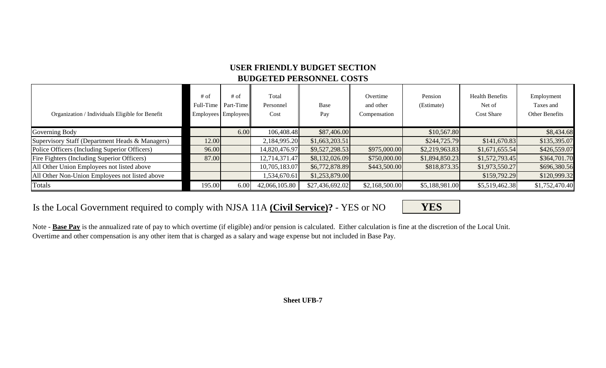## **USER FRIENDLY BUDGET SECTION BUDGETED PERSONNEL COSTS**

| Organization / Individuals Eligible for Benefit | $#$ of<br>Full-Time | $#$ of<br>Part-Time<br>Employees Employees | Total<br>Personnel<br>Cost | Base<br>Pay     | Overtime<br>and other<br>Compensation | Pension<br>(Estimate) | <b>Health Benefits</b><br>Net of<br><b>Cost Share</b> | Employment<br>Taxes and<br>Other Benefits |
|-------------------------------------------------|---------------------|--------------------------------------------|----------------------------|-----------------|---------------------------------------|-----------------------|-------------------------------------------------------|-------------------------------------------|
| Governing Body                                  |                     | 6.00                                       | 106,408.48                 | \$87,406.00     |                                       | \$10,567.80           |                                                       | \$8,434.68                                |
| Supervisory Staff (Department Heads & Managers) | 12.00               |                                            | 2,184,995.20               | \$1,663,203.51  |                                       | \$244,725.79          | \$141,670.83                                          | \$135,395.07                              |
| Police Officers (Including Superior Officers)   | 96.00               |                                            | 14,820,476.97              | \$9,527,298.53  | \$975,000.00                          | \$2,219,963.83        | \$1,671,655.54                                        | \$426,559.07                              |
| Fire Fighters (Including Superior Officers)     | 87.00               |                                            | 12,714,371.47              | \$8,132,026.09  | \$750,000.00                          | \$1,894,850.23        | \$1,572,793.45                                        | \$364,701.70                              |
| All Other Union Employees not listed above      |                     |                                            | 10,705,183.07              | \$6,772,878.89  | \$443,500.00                          | \$818,873.35          | \$1,973,550.27                                        | \$696,380.56                              |
| All Other Non-Union Employees not listed above  |                     |                                            | 534,670.61                 | \$1,253,879.00  |                                       |                       | \$159,792.29                                          | \$120,999.32                              |
| Totals                                          | 195.00              | 6.00                                       | 42,066,105.80              | \$27,436,692.02 | \$2,168,500.00                        | \$5,188,981.00        | \$5,519,462.38                                        | \$1,752,470.40                            |

## Is the Local Government required to comply with NJSA 11A **(Civil Service)?** - YES or NO **YES**

Note - **Base Pay** is the annualized rate of pay to which overtime (if eligible) and/or pension is calculated. Either calculation is fine at the discretion of the Local Unit. Overtime and other compensation is any other item that is charged as a salary and wage expense but not included in Base Pay.

**Sheet UFB-7**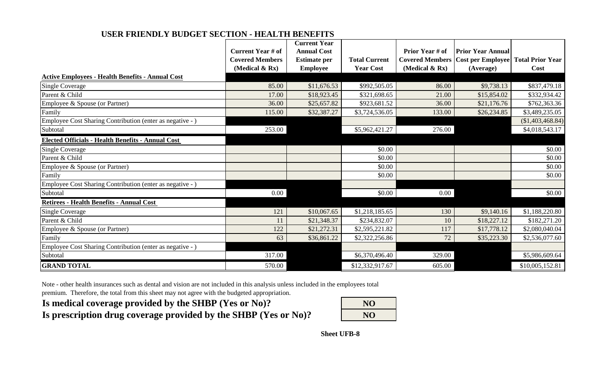### **USER FRIENDLY BUDGET SECTION - HEALTH BENEFITS**

|                                                           |                          | <b>Current Year</b> |                      |                        |                                            |                         |
|-----------------------------------------------------------|--------------------------|---------------------|----------------------|------------------------|--------------------------------------------|-------------------------|
|                                                           | <b>Current Year # of</b> | <b>Annual Cost</b>  |                      | <b>Prior Year # of</b> | <b>Prior Year Annual</b>                   |                         |
|                                                           | <b>Covered Members</b>   | <b>Estimate per</b> | <b>Total Current</b> |                        | <b>Covered Members   Cost per Employee</b> | <b>Total Prior Year</b> |
|                                                           | (Medical $\&$ Rx)        | <b>Employee</b>     | <b>Year Cost</b>     | (Medical $\&$ Rx)      | (Average)                                  | Cost                    |
| <b>Active Employees - Health Benefits - Annual Cost</b>   |                          |                     |                      |                        |                                            |                         |
| <b>Single Coverage</b>                                    | 85.00                    | \$11,676.53         | \$992,505.05         | 86.00                  | \$9,738.13                                 | \$837,479.18            |
| Parent & Child                                            | 17.00                    | \$18,923.45         | \$321,698.65         | 21.00                  | \$15,854.02                                | \$332,934.42            |
| Employee & Spouse (or Partner)                            | 36.00                    | \$25,657.82         | \$923,681.52         | 36.00                  | \$21,176.76                                | \$762,363.36            |
| Family                                                    | 115.00                   | \$32,387.27         | \$3,724,536.05       | 133.00                 | \$26,234.85                                | \$3,489,235.05          |
| Employee Cost Sharing Contribution (enter as negative - ) |                          |                     |                      |                        |                                            | (\$1,403,468.84)        |
| Subtotal                                                  | 253.00                   |                     | \$5,962,421.27       | 276.00                 |                                            | \$4,018,543.17          |
| <b>Elected Officials - Health Benefits - Annual Cost</b>  |                          |                     |                      |                        |                                            |                         |
| <b>Single Coverage</b>                                    |                          |                     | \$0.00               |                        |                                            | \$0.00                  |
| Parent & Child                                            |                          |                     | \$0.00               |                        |                                            | \$0.00                  |
| Employee & Spouse (or Partner)                            |                          |                     | \$0.00               |                        |                                            | \$0.00                  |
| Family                                                    |                          |                     | \$0.00               |                        |                                            | \$0.00                  |
| Employee Cost Sharing Contribution (enter as negative - ) |                          |                     |                      |                        |                                            |                         |
| Subtotal                                                  | 0.00                     |                     | \$0.00               | $0.00\,$               |                                            | \$0.00                  |
| <b>Retirees - Health Benefits - Annual Cost</b>           |                          |                     |                      |                        |                                            |                         |
| <b>Single Coverage</b>                                    | 121                      | \$10,067.65         | \$1,218,185.65       | 130                    | \$9,140.16                                 | \$1,188,220.80          |
| Parent & Child                                            | 11                       | \$21,348.37         | \$234,832.07         | 10                     | \$18,227.12                                | \$182,271.20            |
| Employee & Spouse (or Partner)                            | 122                      | \$21,272.31         | \$2,595,221.82       | 117                    | \$17,778.12                                | \$2,080,040.04          |
| Family                                                    | 63                       | \$36,861.22         | \$2,322,256.86       | 72                     | \$35,223.30                                | \$2,536,077.60          |
| Employee Cost Sharing Contribution (enter as negative - ) |                          |                     |                      |                        |                                            |                         |
| Subtotal                                                  | 317.00                   |                     | \$6,370,496.40       | 329.00                 |                                            | \$5,986,609.64          |
| <b>GRAND TOTAL</b>                                        | 570.00                   |                     | \$12,332,917.67      | 605.00                 |                                            | \$10,005,152.81         |

Note - other health insurances such as dental and vision are not included in this analysis unless included in the employees total

premium. Therefore, the total from this sheet may not agree with the budgeted appropriation.

# Is medical coverage provided by the SHBP (Yes or No)?

Is prescription drug coverage provided by the SHBP (Yes or No)?

| NO <sub>1</sub> |  |
|-----------------|--|
| N <sub>O</sub>  |  |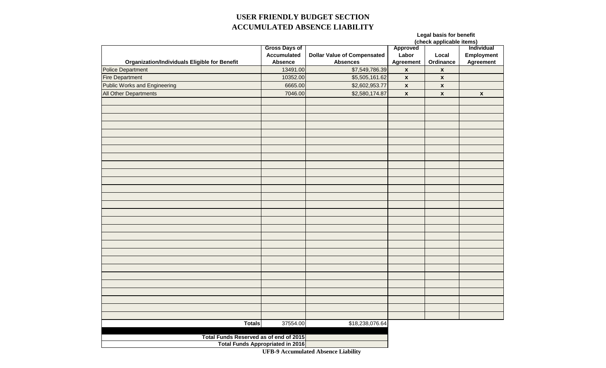### **USER FRIENDLY BUDGET SECTION ACCUMULATED ABSENCE LIABILITY**

**Legal basis for benefit**

|                                                      | <b>Gross Days of</b>                    |                                    | Approved           |                           | Individual         |  |  |
|------------------------------------------------------|-----------------------------------------|------------------------------------|--------------------|---------------------------|--------------------|--|--|
|                                                      | <b>Accumulated</b>                      | <b>Dollar Value of Compensated</b> | Labor              | Local                     | Employment         |  |  |
| <b>Organization/Individuals Eligible for Benefit</b> | <b>Absence</b>                          | <b>Absences</b>                    | Agreement          | Ordinance                 | <b>Agreement</b>   |  |  |
| <b>Police Department</b>                             | 13491.00                                | \$7,549,786.39                     | $\pmb{\mathsf{x}}$ | $\pmb{\mathsf{x}}$        |                    |  |  |
| <b>Fire Department</b>                               | 10352.00                                | \$5,505,161.62                     | $\pmb{\mathsf{x}}$ | $\pmb{\mathsf{x}}$        |                    |  |  |
| <b>Public Works and Engineering</b>                  | 6665.00                                 | \$2,602,953.77                     | $\pmb{\mathsf{x}}$ | $\mathbf{x}$              |                    |  |  |
| All Other Departments                                | 7046.00                                 | \$2,580,174.87                     | $\pmb{\mathsf{x}}$ | $\boldsymbol{\mathsf{x}}$ | $\pmb{\mathsf{x}}$ |  |  |
|                                                      |                                         |                                    |                    |                           |                    |  |  |
|                                                      |                                         |                                    |                    |                           |                    |  |  |
|                                                      |                                         |                                    |                    |                           |                    |  |  |
|                                                      |                                         |                                    |                    |                           |                    |  |  |
|                                                      |                                         |                                    |                    |                           |                    |  |  |
|                                                      |                                         |                                    |                    |                           |                    |  |  |
|                                                      |                                         |                                    |                    |                           |                    |  |  |
|                                                      |                                         |                                    |                    |                           |                    |  |  |
|                                                      |                                         |                                    |                    |                           |                    |  |  |
|                                                      |                                         |                                    |                    |                           |                    |  |  |
|                                                      |                                         |                                    |                    |                           |                    |  |  |
|                                                      |                                         |                                    |                    |                           |                    |  |  |
|                                                      |                                         |                                    |                    |                           |                    |  |  |
|                                                      |                                         |                                    |                    |                           |                    |  |  |
|                                                      |                                         |                                    |                    |                           |                    |  |  |
|                                                      |                                         |                                    |                    |                           |                    |  |  |
|                                                      |                                         |                                    |                    |                           |                    |  |  |
|                                                      |                                         |                                    |                    |                           |                    |  |  |
|                                                      |                                         |                                    |                    |                           |                    |  |  |
|                                                      |                                         |                                    |                    |                           |                    |  |  |
|                                                      |                                         |                                    |                    |                           |                    |  |  |
|                                                      |                                         |                                    |                    |                           |                    |  |  |
|                                                      |                                         |                                    |                    |                           |                    |  |  |
|                                                      |                                         |                                    |                    |                           |                    |  |  |
|                                                      |                                         |                                    |                    |                           |                    |  |  |
|                                                      |                                         |                                    |                    |                           |                    |  |  |
|                                                      |                                         |                                    |                    |                           |                    |  |  |
|                                                      |                                         |                                    |                    |                           |                    |  |  |
| <b>Totals</b>                                        | 37554.00                                | \$18,238,076.64                    |                    |                           |                    |  |  |
|                                                      |                                         |                                    |                    |                           |                    |  |  |
| Total Funds Reserved as of end of 2015               |                                         |                                    |                    |                           |                    |  |  |
|                                                      | <b>Total Funds Appropriated in 2016</b> |                                    |                    |                           |                    |  |  |

**UFB-9 Accumulated Absence Liability**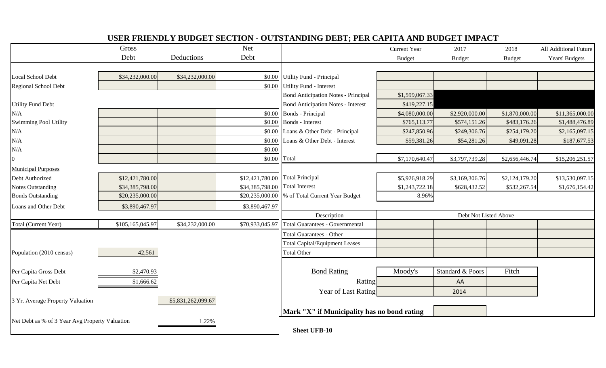| USER FRIENDLY BUDGET SECTION - OUTSTANDING DEBT; PER CAPITA AND BUDGET IMPACT |                  |                    |                 |                                             |                       |                  |                |                       |  |  |  |
|-------------------------------------------------------------------------------|------------------|--------------------|-----------------|---------------------------------------------|-----------------------|------------------|----------------|-----------------------|--|--|--|
|                                                                               | Gross            |                    | <b>Net</b>      |                                             | <b>Current Year</b>   | 2017             | 2018           | All Additional Future |  |  |  |
|                                                                               | Debt             | Deductions         | Debt            |                                             | <b>Budget</b>         | <b>Budget</b>    | <b>Budget</b>  | Years' Budgets        |  |  |  |
|                                                                               |                  |                    |                 |                                             |                       |                  |                |                       |  |  |  |
| Local School Debt                                                             | \$34,232,000.00  | \$34,232,000.00    | \$0.00          | Utility Fund - Principal                    |                       |                  |                |                       |  |  |  |
| Regional School Debt                                                          |                  |                    | \$0.00          | Utility Fund - Interest                     |                       |                  |                |                       |  |  |  |
|                                                                               |                  |                    |                 | <b>Bond Anticipation Notes - Principal</b>  | \$1,599,067.33        |                  |                |                       |  |  |  |
| <b>Utility Fund Debt</b>                                                      |                  |                    |                 | <b>Bond Anticipation Notes - Interest</b>   | \$419,227.15          |                  |                |                       |  |  |  |
| N/A                                                                           |                  |                    | \$0.00          | Bonds - Principal                           | \$4,080,000.00        | \$2,920,000.00   | \$1,870,000.00 | \$11,365,000.00       |  |  |  |
| <b>Swimming Pool Utility</b>                                                  |                  |                    | \$0.00          | <b>Bonds</b> - Interest                     | \$765,113.77          | \$574,151.26     | \$483,176.26   | \$1,488,476.89        |  |  |  |
| N/A                                                                           |                  |                    | \$0.00          | Loans & Other Debt - Principal              | \$247,850.96          | \$249,306.76     | \$254,179.20   | \$2,165,097.15        |  |  |  |
| N/A                                                                           |                  |                    | \$0.00          | Loans & Other Debt - Interest               | \$59,381.26           | \$54,281.26      | \$49,091.28    | \$187,677.53          |  |  |  |
| N/A                                                                           |                  |                    | \$0.00          |                                             |                       |                  |                |                       |  |  |  |
| $\overline{0}$                                                                |                  |                    | \$0.00 Total    |                                             | \$7,170,640.47        | \$3,797,739.28   | \$2,656,446.74 | \$15,206,251.57       |  |  |  |
| <b>Municipal Purposes</b>                                                     |                  |                    |                 |                                             |                       |                  |                |                       |  |  |  |
| Debt Authorized                                                               | \$12,421,780.00  |                    | \$12,421,780.00 | <b>Total Principal</b>                      | \$5,926,918.29        | \$3,169,306.76   | \$2,124,179.20 | \$13,530,097.15       |  |  |  |
| <b>Notes Outstanding</b>                                                      | \$34,385,798.00  |                    | \$34,385,798.00 | <b>Total Interest</b>                       | \$1,243,722.18        | \$628,432.52     | \$532,267.54   | \$1,676,154.42        |  |  |  |
| <b>Bonds Outstanding</b>                                                      | \$20,235,000.00  |                    | \$20,235,000.00 | % of Total Current Year Budget              | 8.96%                 |                  |                |                       |  |  |  |
| Loans and Other Debt                                                          | \$3,890,467.97   |                    | \$3,890,467.97  |                                             |                       |                  |                |                       |  |  |  |
|                                                                               |                  |                    |                 | Description                                 | Debt Not Listed Above |                  |                |                       |  |  |  |
| Total (Current Year)                                                          | \$105,165,045.97 | \$34,232,000.00    | \$70,933,045.97 | <b>Total Guarantees - Governmental</b>      |                       |                  |                |                       |  |  |  |
|                                                                               |                  |                    |                 | <b>Total Guarantees - Other</b>             |                       |                  |                |                       |  |  |  |
|                                                                               |                  |                    |                 | <b>Total Capital/Equipment Leases</b>       |                       |                  |                |                       |  |  |  |
| Population (2010 census)                                                      | 42,561           |                    |                 | <b>Total Other</b>                          |                       |                  |                |                       |  |  |  |
|                                                                               |                  |                    |                 |                                             |                       |                  |                |                       |  |  |  |
| Per Capita Gross Debt                                                         | \$2,470.93       |                    |                 | <b>Bond Rating</b>                          | Moody's               | Standard & Poors | Fitch          |                       |  |  |  |
| Per Capita Net Debt                                                           | \$1,666.62       |                    |                 | Rating                                      |                       | AA               |                |                       |  |  |  |
|                                                                               |                  |                    |                 | Year of Last Rating                         |                       | 2014             |                |                       |  |  |  |
| 3 Yr. Average Property Valuation                                              |                  | \$5,831,262,099.67 |                 |                                             |                       |                  |                |                       |  |  |  |
|                                                                               |                  |                    |                 | Mark "X" if Municipality has no bond rating |                       |                  |                |                       |  |  |  |
| Net Debt as % of 3 Year Avg Property Valuation                                |                  | 1.22%              |                 |                                             |                       |                  |                |                       |  |  |  |
|                                                                               |                  |                    |                 | <b>Sheet UFB-10</b>                         |                       |                  |                |                       |  |  |  |